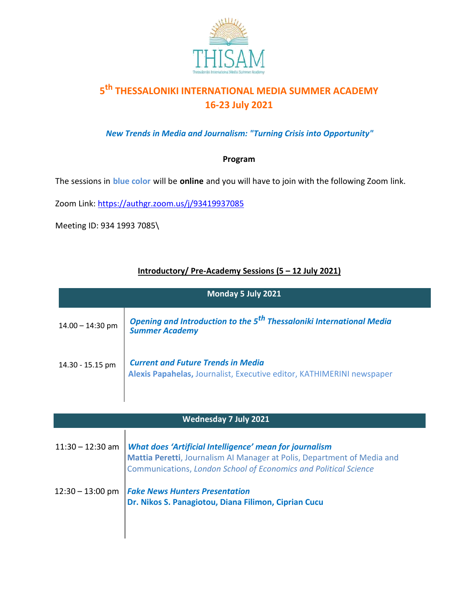

# **5 th THESSALONIKI INTERNATIONAL MEDIA SUMMER ACADEMY 16-23 July 2021**

*New Trends in Media and Journalism: "Turning Crisis into Opportunity"*

### **Program**

The sessions in **blue color** will be **online** and you will have to join with the following Zoom link.

Zoom Link: https://authgr.zoom.us/j/93419937085

Meeting ID: 934 1993 7085\

## **Introductory/ Pre-Academy Sessions (5 – 12 July 2021)**

| Monday 5 July 2021 |                                                                                                                                                                                                                      |
|--------------------|----------------------------------------------------------------------------------------------------------------------------------------------------------------------------------------------------------------------|
| $14.00 - 14:30$ pm | Opening and Introduction to the 5 <sup>th</sup> Thessaloniki International Media<br><b>Summer Academy</b>                                                                                                            |
| 14.30 - 15.15 pm   | <b>Current and Future Trends in Media</b><br>Alexis Papahelas, Journalist, Executive editor, KATHIMERINI newspaper                                                                                                   |
|                    | <b>Wednesday 7 July 2021</b>                                                                                                                                                                                         |
| $11:30 - 12:30$ am | <b>What does 'Artificial Intelligence' mean for journalism</b><br>Mattia Peretti, Journalism AI Manager at Polis, Department of Media and<br><b>Communications, London School of Economics and Political Science</b> |
| $12:30 - 13:00$ pm | <b>Fake News Hunters Presentation</b><br>Dr. Nikos S. Panagiotou, Diana Filimon, Ciprian Cucu                                                                                                                        |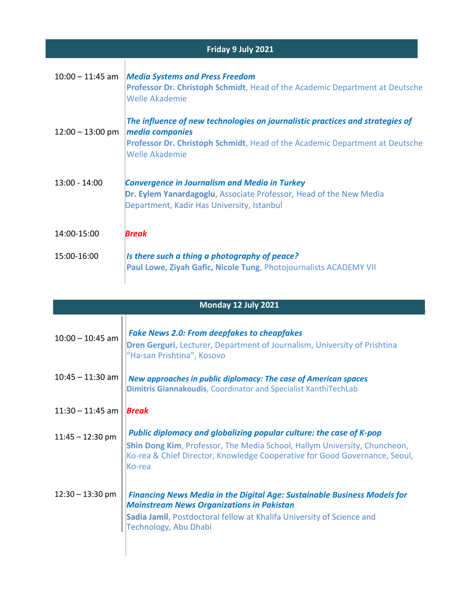| Friday 9 July 2021 |                                                                                                                                                                                                           |
|--------------------|-----------------------------------------------------------------------------------------------------------------------------------------------------------------------------------------------------------|
| $10:00 - 11:45$ am | <b>Media Systems and Press Freedom</b><br>Professor Dr. Christoph Schmidt, Head of the Academic Department at Deutsche<br><b>Welle Akademie</b>                                                           |
| $12:00 - 13:00$ pm | The influence of new technologies on journalistic practices and strategies of<br>media companies<br><b>Professor Dr. Christoph Schmidt, Head of the Academic Department at Deutsche</b><br>Welle Akademie |
| $13:00 - 14:00$    | <b>Convergence in Journalism and Media in Turkey</b><br>Dr. Eylem Yanardagoglu, Associate Professor, Head of the New Media<br>Department, Kadir Has University, Istanbul                                  |
| 14:00-15:00        | <b>Break</b>                                                                                                                                                                                              |
| 15:00-16:00        | Is there such a thing a photography of peace?<br>Paul Lowe, Ziyah Gafic, Nicole Tung, Photojournalists ACADEMY VII                                                                                        |

| Monday 12 July 2021 |                                                                                                                                                                                                                                           |
|---------------------|-------------------------------------------------------------------------------------------------------------------------------------------------------------------------------------------------------------------------------------------|
| $10:00 - 10:45$ am  | <b>Fake News 2.0: From deepfakes to cheapfakes</b><br>Dren Gerguri, Lecturer, Department of Journalism, University of Prishtina<br>"Ha-san Prishtina", Kosovo                                                                             |
| $10:45 - 11:30$ am  | New approaches in public diplomacy: The case of American spaces<br>Dimitris Giannakoudis, Coordinator and Specialist XanthiTechLab                                                                                                        |
| $11:30 - 11:45$ am  | <b>Break</b>                                                                                                                                                                                                                              |
| $11:45 - 12:30$ pm  | Public diplomacy and globalizing popular culture: the case of K-pop<br>Shin Dong Kim, Professor, The Media School, Hallym University, Chuncheon,<br>Ko-rea & Chief Director, Knowledge Cooperative for Good Governance, Seoul,<br>lKo-rea |
| $12:30 - 13:30$ pm  | <b>Financing News Media in the Digital Age: Sustainable Business Models for</b><br><b>Mainstream News Organizations in Pakistan</b><br>Sadia Jamil, Postdoctoral fellow at Khalifa University of Science and<br>Technology, Abu Dhabi     |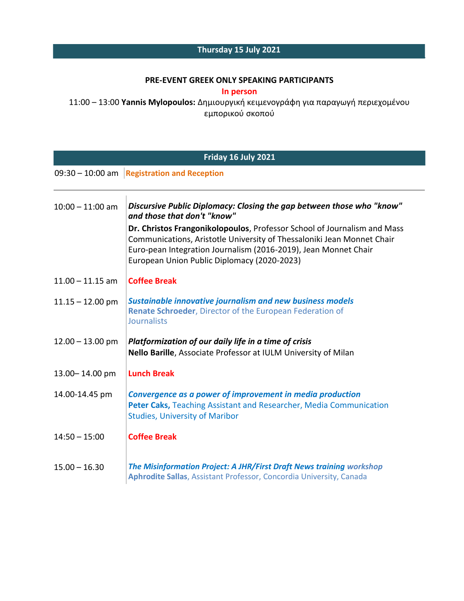## **Thursday 15 July 2021**

#### **PRE-EVENT GREEK ONLY SPEAKING PARTICIPANTS**

**In person**

11:00 – 13:00 **Yannis Mylopoulos:** Δημιουργική κειμενογράφη για παραγωγή περιεχομένου εμπορικού σκοπού

| Friday 16 July 2021                                     |                                                                                                                                                                                                                                                                                                                                                                              |
|---------------------------------------------------------|------------------------------------------------------------------------------------------------------------------------------------------------------------------------------------------------------------------------------------------------------------------------------------------------------------------------------------------------------------------------------|
| $09:30 - 10:00$ am<br><b>Registration and Reception</b> |                                                                                                                                                                                                                                                                                                                                                                              |
| $10:00 - 11:00$ am                                      | Discursive Public Diplomacy: Closing the gap between those who "know"<br>and those that don't "know"<br>Dr. Christos Frangonikolopoulos, Professor School of Journalism and Mass<br>Communications, Aristotle University of Thessaloniki Jean Monnet Chair<br>Euro-pean Integration Journalism (2016-2019), Jean Monnet Chair<br>European Union Public Diplomacy (2020-2023) |
| $11.00 - 11.15$ am                                      | <b>Coffee Break</b>                                                                                                                                                                                                                                                                                                                                                          |
| $11.15 - 12.00$ pm                                      | <b>Sustainable innovative journalism and new business models</b><br>Renate Schroeder, Director of the European Federation of<br><b>Journalists</b>                                                                                                                                                                                                                           |
| $12.00 - 13.00$ pm                                      | Platformization of our daily life in a time of crisis<br>Nello Barille, Associate Professor at IULM University of Milan                                                                                                                                                                                                                                                      |
| 13.00-14.00 pm                                          | <b>Lunch Break</b>                                                                                                                                                                                                                                                                                                                                                           |
| 14.00-14.45 pm                                          | Convergence as a power of improvement in media production<br>Peter Caks, Teaching Assistant and Researcher, Media Communication<br><b>Studies, University of Maribor</b>                                                                                                                                                                                                     |
| $14:50 - 15:00$                                         | <b>Coffee Break</b>                                                                                                                                                                                                                                                                                                                                                          |
| $15.00 - 16.30$                                         | The Misinformation Project: A JHR/First Draft News training workshop<br>Aphrodite Sallas, Assistant Professor, Concordia University, Canada                                                                                                                                                                                                                                  |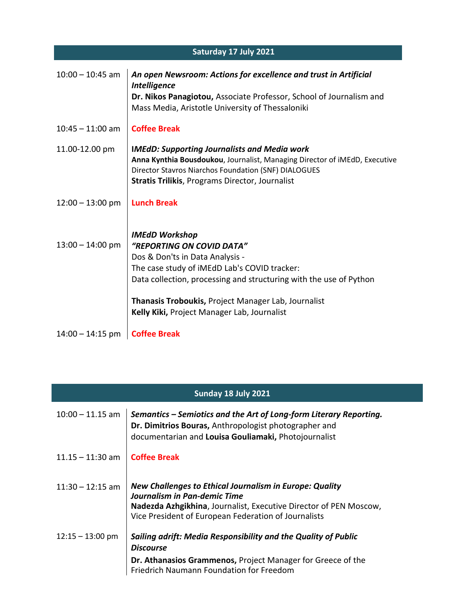| Saturday 17 July 2021 |                                                                                                                                                                                                                                                     |
|-----------------------|-----------------------------------------------------------------------------------------------------------------------------------------------------------------------------------------------------------------------------------------------------|
| $10:00 - 10:45$ am    | An open Newsroom: Actions for excellence and trust in Artificial<br><b>Intelligence</b><br>Dr. Nikos Panagiotou, Associate Professor, School of Journalism and<br>Mass Media, Aristotle University of Thessaloniki                                  |
| $10:45 - 11:00$ am    | <b>Coffee Break</b>                                                                                                                                                                                                                                 |
| 11.00-12.00 pm        | <b>IMEdD: Supporting Journalists and Media work</b><br>Anna Kynthia Bousdoukou, Journalist, Managing Director of iMEdD, Executive<br>Director Stavros Niarchos Foundation (SNF) DIALOGUES<br><b>Stratis Trilikis, Programs Director, Journalist</b> |
| $12:00 - 13:00$ pm    | <b>Lunch Break</b>                                                                                                                                                                                                                                  |
| $13:00 - 14:00$ pm    | <b>IMEdD Workshop</b><br>"REPORTING ON COVID DATA"<br>Dos & Don'ts in Data Analysis -<br>The case study of iMEdD Lab's COVID tracker:<br>Data collection, processing and structuring with the use of Python                                         |
|                       | <b>Thanasis Troboukis, Project Manager Lab, Journalist</b><br>Kelly Kiki, Project Manager Lab, Journalist                                                                                                                                           |
| $14:00 - 14:15$ pm    | <b>Coffee Break</b>                                                                                                                                                                                                                                 |

| Sunday 18 July 2021 |                                                                                                                                                                                                                      |
|---------------------|----------------------------------------------------------------------------------------------------------------------------------------------------------------------------------------------------------------------|
| $10:00 - 11.15$ am  | Semantics – Semiotics and the Art of Long-form Literary Reporting.<br>Dr. Dimitrios Bouras, Anthropologist photographer and<br>documentarian and Louisa Gouliamaki, Photojournalist                                  |
| $11.15 - 11:30$ am  | <b>Coffee Break</b>                                                                                                                                                                                                  |
| $11:30 - 12:15$ am  | New Challenges to Ethical Journalism in Europe: Quality<br>Journalism in Pan-demic Time<br>Nadezda Azhgikhina, Journalist, Executive Director of PEN Moscow,<br>Vice President of European Federation of Journalists |
| $12:15 - 13:00$ pm  | Sailing adrift: Media Responsibility and the Quality of Public<br><b>Discourse</b>                                                                                                                                   |
|                     | Dr. Athanasios Grammenos, Project Manager for Greece of the<br>Friedrich Naumann Foundation for Freedom                                                                                                              |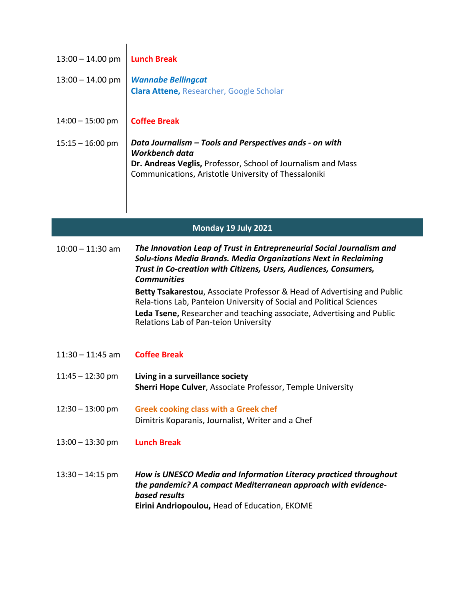| $13:00 - 14.00$ pm | <b>Lunch Break</b>                                                                                                                              |
|--------------------|-------------------------------------------------------------------------------------------------------------------------------------------------|
| $13:00 - 14.00$ pm | <b>Wannabe Bellingcat</b>                                                                                                                       |
|                    | <b>Clara Attene, Researcher, Google Scholar</b>                                                                                                 |
| $14:00 - 15:00$ pm | <b>Coffee Break</b>                                                                                                                             |
|                    |                                                                                                                                                 |
| $15:15 - 16:00$ pm | Data Journalism - Tools and Perspectives ands - on with<br>Workbench data                                                                       |
|                    | Dr. Andreas Veglis, Professor, School of Journalism and Mass                                                                                    |
|                    | Communications, Aristotle University of Thessaloniki                                                                                            |
|                    |                                                                                                                                                 |
|                    |                                                                                                                                                 |
|                    | Monday 19 July 2021                                                                                                                             |
| $10:00 - 11:30$ am | The Innovation Leap of Trust in Entrepreneurial Social Journalism and                                                                           |
|                    | Solu-tions Media Brands. Media Organizations Next in Reclaiming<br>Trust in Co-creation with Citizens, Users, Audiences, Consumers,             |
|                    | <b>Communities</b>                                                                                                                              |
|                    | Betty Tsakarestou, Associate Professor & Head of Advertising and Public<br>Rela-tions Lab, Panteion University of Social and Political Sciences |
|                    | Leda Tsene, Researcher and teaching associate, Advertising and Public<br>Relations Lab of Pan-teion University                                  |
|                    |                                                                                                                                                 |
| $11:30 - 11:45$ am | <b>Coffee Break</b>                                                                                                                             |
|                    |                                                                                                                                                 |
| $11:45 - 12:30$ pm | Living in a surveillance society<br>Sherri Hope Culver, Associate Professor, Temple University                                                  |
|                    |                                                                                                                                                 |
| $12:30 - 13:00$ pm | <b>Greek cooking class with a Greek chef</b><br>Dimitris Koparanis, Journalist, Writer and a Chef                                               |
|                    |                                                                                                                                                 |
| $13:00 - 13:30$ pm | <b>Lunch Break</b>                                                                                                                              |
| $13:30 - 14:15$ pm | How is UNESCO Media and Information Literacy practiced throughout                                                                               |
|                    | the pandemic? A compact Mediterranean approach with evidence-                                                                                   |
|                    | based results<br>Eirini Andriopoulou, Head of Education, EKOME                                                                                  |
|                    |                                                                                                                                                 |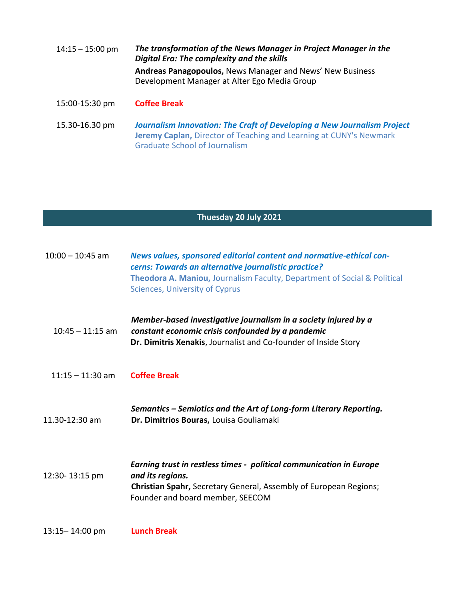| $14:15 - 15:00$ pm | The transformation of the News Manager in Project Manager in the<br>Digital Era: The complexity and the skills<br>Andreas Panagopoulos, News Manager and News' New Business<br>Development Manager at Alter Ego Media Group |
|--------------------|-----------------------------------------------------------------------------------------------------------------------------------------------------------------------------------------------------------------------------|
| 15:00-15:30 pm     | <b>Coffee Break</b>                                                                                                                                                                                                         |
| 15.30-16.30 pm     | <b>Journalism Innovation: The Craft of Developing a New Journalism Project</b><br><b>Jeremy Caplan, Director of Teaching and Learning at CUNY's Newmark</b><br><b>Graduate School of Journalism</b>                         |

| Thuesday 20 July 2021 |                                                                                                                                                                                                                                                  |  |
|-----------------------|--------------------------------------------------------------------------------------------------------------------------------------------------------------------------------------------------------------------------------------------------|--|
| $10:00 - 10:45$ am    | News values, sponsored editorial content and normative-ethical con-<br>cerns: Towards an alternative journalistic practice?<br>Theodora A. Maniou, Journalism Faculty, Department of Social & Political<br><b>Sciences, University of Cyprus</b> |  |
| $10:45 - 11:15$ am    | Member-based investigative journalism in a society injured by a<br>constant economic crisis confounded by a pandemic<br>Dr. Dimitris Xenakis, Journalist and Co-founder of Inside Story                                                          |  |
| $11:15 - 11:30$ am    | <b>Coffee Break</b>                                                                                                                                                                                                                              |  |
| 11.30-12:30 am        | Semantics - Semiotics and the Art of Long-form Literary Reporting.<br>Dr. Dimitrios Bouras, Louisa Gouliamaki                                                                                                                                    |  |
| 12:30-13:15 pm        | Earning trust in restless times - political communication in Europe<br>and its regions.<br>Christian Spahr, Secretary General, Assembly of European Regions;<br>Founder and board member, SEECOM                                                 |  |
| 13:15-14:00 pm        | <b>Lunch Break</b>                                                                                                                                                                                                                               |  |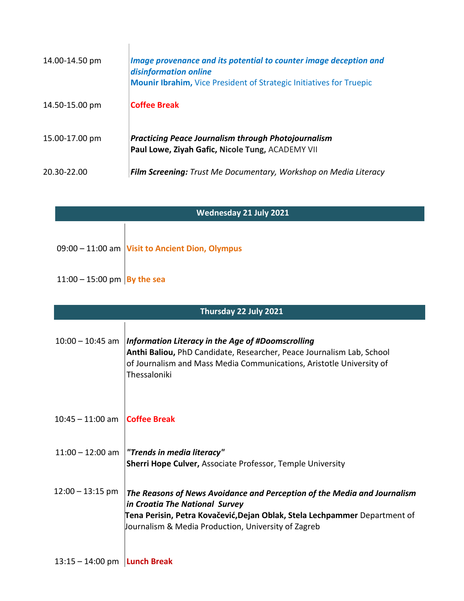| 14.00-14.50 pm | Image provenance and its potential to counter image deception and<br>disinformation online<br><b>Mounir Ibrahim, Vice President of Strategic Initiatives for Truepic</b> |
|----------------|--------------------------------------------------------------------------------------------------------------------------------------------------------------------------|
| 14.50-15.00 pm | <b>Coffee Break</b>                                                                                                                                                      |
| 15.00-17.00 pm | <b>Practicing Peace Journalism through Photojournalism</b><br>Paul Lowe, Ziyah Gafic, Nicole Tung, ACADEMY VII                                                           |
| 20.30-22.00    | <b>Film Screening:</b> Trust Me Documentary, Workshop on Media Literacy                                                                                                  |

| Wednesday 21 July 2021        |                                                   |
|-------------------------------|---------------------------------------------------|
|                               | $09:00 - 11:00$ am Visit to Ancient Dion, Olympus |
| 11:00 – 15:00 pm   By the sea |                                                   |

| Thursday 22 July 2021 |                                                                                                                                                                                                                                                 |
|-----------------------|-------------------------------------------------------------------------------------------------------------------------------------------------------------------------------------------------------------------------------------------------|
| $10:00 - 10:45$ am    | Information Literacy in the Age of #Doomscrolling<br>Anthi Baliou, PhD Candidate, Researcher, Peace Journalism Lab, School<br>of Journalism and Mass Media Communications, Aristotle University of<br>Thessaloniki                              |
| $10:45 - 11:00$ am    | <b>Coffee Break</b>                                                                                                                                                                                                                             |
| $11:00 - 12:00$ am    | "Trends in media literacy"<br><b>Sherri Hope Culver, Associate Professor, Temple University</b>                                                                                                                                                 |
| $12:00 - 13:15$ pm    | The Reasons of News Avoidance and Perception of the Media and Journalism<br>in Croatia The National Survey<br>Tena Perisin, Petra Kovačević, Dejan Oblak, Stela Lechpammer Department of<br>Journalism & Media Production, University of Zagreb |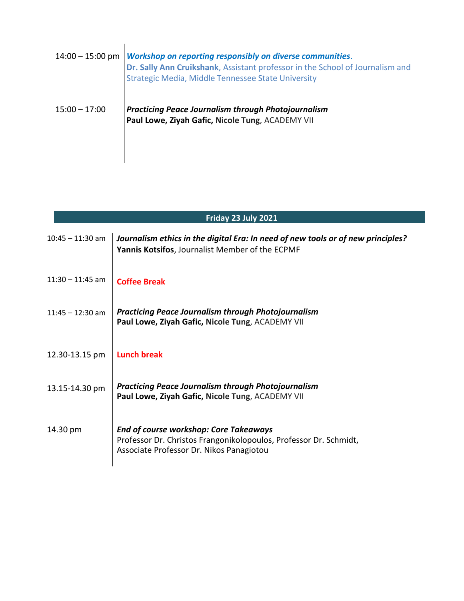| $14:00 - 15:00$ pm | <b>Workshop on reporting responsibly on diverse communities.</b><br>Dr. Sally Ann Cruikshank, Assistant professor in the School of Journalism and<br><b>Strategic Media, Middle Tennessee State University</b> |
|--------------------|----------------------------------------------------------------------------------------------------------------------------------------------------------------------------------------------------------------|
| $15:00 - 17:00$    | <b>Practicing Peace Journalism through Photojournalism</b><br>Paul Lowe, Ziyah Gafic, Nicole Tung, ACADEMY VII                                                                                                 |

| Friday 23 July 2021 |                                                                                                                                                                |
|---------------------|----------------------------------------------------------------------------------------------------------------------------------------------------------------|
| $10:45 - 11:30$ am  | Journalism ethics in the digital Era: In need of new tools or of new principles?<br>Yannis Kotsifos, Journalist Member of the ECPMF                            |
| $11:30 - 11:45$ am  | <b>Coffee Break</b>                                                                                                                                            |
| $11:45 - 12:30$ am  | <b>Practicing Peace Journalism through Photojournalism</b><br>Paul Lowe, Ziyah Gafic, Nicole Tung, ACADEMY VII                                                 |
| 12.30-13.15 pm      | <b>Lunch break</b>                                                                                                                                             |
| 13.15-14.30 pm      | <b>Practicing Peace Journalism through Photojournalism</b><br>Paul Lowe, Ziyah Gafic, Nicole Tung, ACADEMY VII                                                 |
| 14.30 pm            | <b>End of course workshop: Core Takeaways</b><br>Professor Dr. Christos Frangonikolopoulos, Professor Dr. Schmidt,<br>Associate Professor Dr. Nikos Panagiotou |